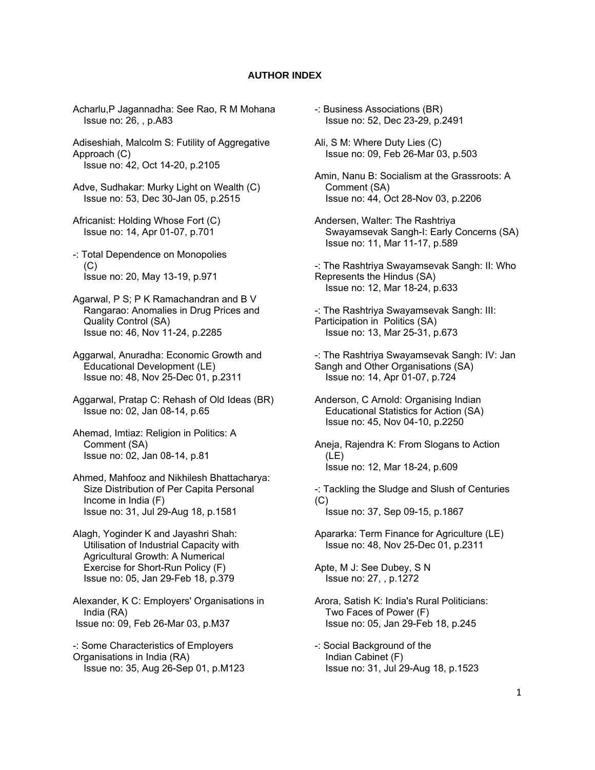## **AUTHOR INDEX**

Acharlu,P Jagannadha: See Rao, R M Mohana Issue no: 26, , p.A83

Adiseshiah, Malcolm S: Futility of Aggregative Approach (C) Issue no: 42, Oct 14-20, p.2105

Adve, Sudhakar: Murky Light on Wealth (C) Issue no: 53, Dec 30-Jan 05, p.2515

- Africanist: Holding Whose Fort (C) Issue no: 14, Apr 01-07, p.701
- -: Total Dependence on Monopolies (C) Issue no: 20, May 13-19, p.971
- Agarwal, P S; P K Ramachandran and B V Rangarao: Anomalies in Drug Prices and Quality Control (SA) Issue no: 46, Nov 11-24, p.2285
- Aggarwal, Anuradha: Economic Growth and Educational Development (LE) Issue no: 48, Nov 25-Dec 01, p.2311
- Aggarwal, Pratap C: Rehash of Old Ideas (BR) Issue no: 02, Jan 08-14, p.65
- Ahemad, Imtiaz: Religion in Politics: A Comment (SA) Issue no: 02, Jan 08-14, p.81
- Ahmed, Mahfooz and Nikhilesh Bhattacharya: Size Distribution of Per Capita Personal Income in India (F) Issue no: 31, Jul 29-Aug 18, p.1581
- Alagh, Yoginder K and Jayashri Shah: Utilisation of Industrial Capacity with Agricultural Growth: A Numerical Exercise for Short-Run Policy (F) Issue no: 05, Jan 29-Feb 18, p.379

Alexander, K C: Employers' Organisations in India (RA) Issue no: 09, Feb 26-Mar 03, p.M37

-: Some Characteristics of Employers Organisations in India (RA) Issue no: 35, Aug 26-Sep 01, p.M123

- -: Business Associations (BR) Issue no: 52, Dec 23-29, p.2491
- Ali, S M: Where Duty Lies (C) Issue no: 09, Feb 26-Mar 03, p.503

Amin, Nanu B: Socialism at the Grassroots: A Comment (SA) Issue no: 44, Oct 28-Nov 03, p.2206

- Andersen, Walter: The Rashtriya Swayamsevak Sangh-I: Early Concerns (SA) Issue no: 11, Mar 11-17, p.589
- -: The Rashtriya Swayamsevak Sangh: II: Who Represents the Hindus (SA) Issue no: 12, Mar 18-24, p.633

-: The Rashtriya Swayamsevak Sangh: III: Participation in Politics (SA) Issue no: 13, Mar 25-31, p.673

- -: The Rashtriya Swayamsevak Sangh: IV: Jan Sangh and Other Organisations (SA) Issue no: 14, Apr 01-07, p.724
- Anderson, C Arnold: Organising Indian Educational Statistics for Action (SA) Issue no: 45, Nov 04-10, p.2250
- Aneja, Rajendra K: From Slogans to Action (LE) Issue no: 12, Mar 18-24, p.609

-: Tackling the Sludge and Slush of Centuries  $(C)$ Issue no: 37, Sep 09-15, p.1867

Apararka: Term Finance for Agriculture (LE) Issue no: 48, Nov 25-Dec 01, p.2311

Apte, M J: See Dubey, S N Issue no: 27, , p.1272

- Arora, Satish K: India's Rural Politicians: Two Faces of Power (F) Issue no: 05, Jan 29-Feb 18, p.245
- -: Social Background of the Indian Cabinet (F) Issue no: 31, Jul 29-Aug 18, p.1523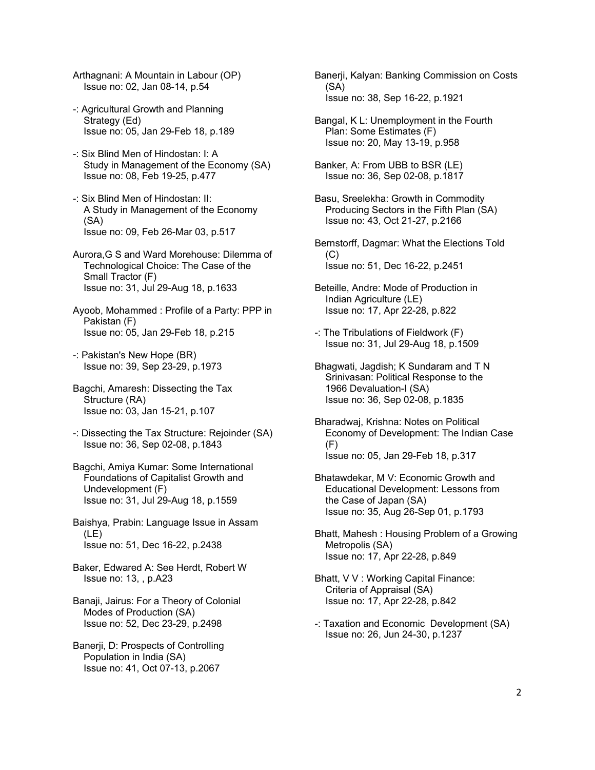- Arthagnani: A Mountain in Labour (OP) Issue no: 02, Jan 08-14, p.54
- -: Agricultural Growth and Planning Strategy (Ed) Issue no: 05, Jan 29-Feb 18, p.189
- -: Six Blind Men of Hindostan: I: A Study in Management of the Economy (SA) Issue no: 08, Feb 19-25, p.477
- -: Six Blind Men of Hindostan: II: A Study in Management of the Economy (SA) Issue no: 09, Feb 26-Mar 03, p.517
- Aurora,G S and Ward Morehouse: Dilemma of Technological Choice: The Case of the Small Tractor (F) Issue no: 31, Jul 29-Aug 18, p.1633
- Ayoob, Mohammed : Profile of a Party: PPP in Pakistan (F) Issue no: 05, Jan 29-Feb 18, p.215
- -: Pakistan's New Hope (BR) Issue no: 39, Sep 23-29, p.1973
- Bagchi, Amaresh: Dissecting the Tax Structure (RA) Issue no: 03, Jan 15-21, p.107
- -: Dissecting the Tax Structure: Rejoinder (SA) Issue no: 36, Sep 02-08, p.1843
- Bagchi, Amiya Kumar: Some International Foundations of Capitalist Growth and Undevelopment (F) Issue no: 31, Jul 29-Aug 18, p.1559
- Baishya, Prabin: Language Issue in Assam (LE) Issue no: 51, Dec 16-22, p.2438
- Baker, Edwared A: See Herdt, Robert W Issue no: 13, , p.A23
- Banaji, Jairus: For a Theory of Colonial Modes of Production (SA) Issue no: 52, Dec 23-29, p.2498
- Banerji, D: Prospects of Controlling Population in India (SA) Issue no: 41, Oct 07-13, p.2067
- Banerji, Kalyan: Banking Commission on Costs (SA) Issue no: 38, Sep 16-22, p.1921
- Bangal, K L: Unemployment in the Fourth Plan: Some Estimates (F) Issue no: 20, May 13-19, p.958
- Banker, A: From UBB to BSR (LE) Issue no: 36, Sep 02-08, p.1817
- Basu, Sreelekha: Growth in Commodity Producing Sectors in the Fifth Plan (SA) Issue no: 43, Oct 21-27, p.2166
- Bernstorff, Dagmar: What the Elections Told (C) Issue no: 51, Dec 16-22, p.2451
- Beteille, Andre: Mode of Production in Indian Agriculture (LE) Issue no: 17, Apr 22-28, p.822
- -: The Tribulations of Fieldwork (F) Issue no: 31, Jul 29-Aug 18, p.1509
- Bhagwati, Jagdish; K Sundaram and T N Srinivasan: Political Response to the 1966 Devaluation-I (SA) Issue no: 36, Sep 02-08, p.1835
- Bharadwaj, Krishna: Notes on Political Economy of Development: The Indian Case  $(F)$ Issue no: 05, Jan 29-Feb 18, p.317
- Bhatawdekar, M V: Economic Growth and Educational Development: Lessons from the Case of Japan (SA) Issue no: 35, Aug 26-Sep 01, p.1793
- Bhatt, Mahesh : Housing Problem of a Growing Metropolis (SA) Issue no: 17, Apr 22-28, p.849
- Bhatt, V V : Working Capital Finance: Criteria of Appraisal (SA) Issue no: 17, Apr 22-28, p.842
- -: Taxation and Economic Development (SA) Issue no: 26, Jun 24-30, p.1237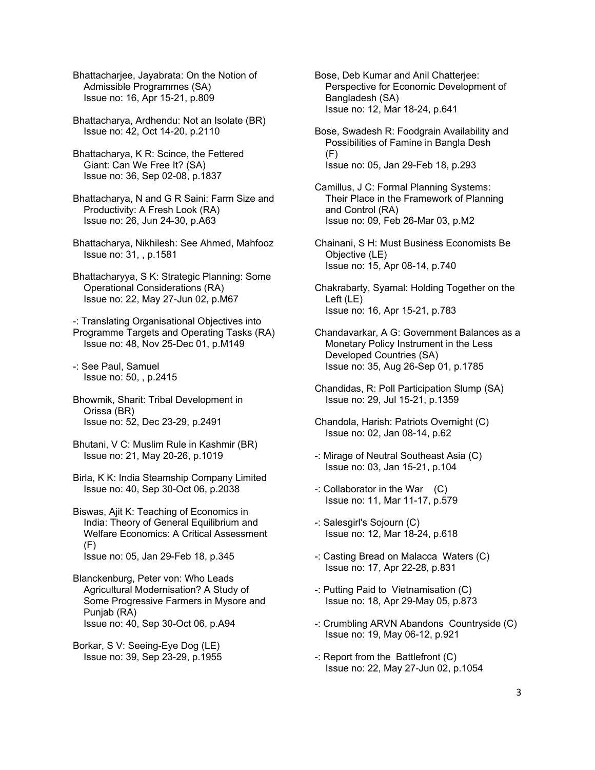Bhattacharjee, Jayabrata: On the Notion of Admissible Programmes (SA) Issue no: 16, Apr 15-21, p.809

Bhattacharya, Ardhendu: Not an Isolate (BR) Issue no: 42, Oct 14-20, p.2110

Bhattacharya, K R: Scince, the Fettered Giant: Can We Free It? (SA) Issue no: 36, Sep 02-08, p.1837

Bhattacharya, N and G R Saini: Farm Size and Productivity: A Fresh Look (RA) Issue no: 26, Jun 24-30, p.A63

Bhattacharya, Nikhilesh: See Ahmed, Mahfooz Issue no: 31, , p.1581

Bhattacharyya, S K: Strategic Planning: Some Operational Considerations (RA) Issue no: 22, May 27-Jun 02, p.M67

-: Translating Organisational Objectives into Programme Targets and Operating Tasks (RA) Issue no: 48, Nov 25-Dec 01, p.M149

-: See Paul, Samuel Issue no: 50, , p.2415

Bhowmik, Sharit: Tribal Development in Orissa (BR) Issue no: 52, Dec 23-29, p.2491

Bhutani, V C: Muslim Rule in Kashmir (BR) Issue no: 21, May 20-26, p.1019

Birla, K K: India Steamship Company Limited Issue no: 40, Sep 30-Oct 06, p.2038

Biswas, Ajit K: Teaching of Economics in India: Theory of General Equilibrium and Welfare Economics: A Critical Assessment (F) Issue no: 05, Jan 29-Feb 18, p.345

Blanckenburg, Peter von: Who Leads Agricultural Modernisation? A Study of Some Progressive Farmers in Mysore and Punjab (RA) Issue no: 40, Sep 30-Oct 06, p.A94

Borkar, S V: Seeing-Eye Dog (LE) Issue no: 39, Sep 23-29, p.1955 Bose, Deb Kumar and Anil Chatterjee: Perspective for Economic Development of Bangladesh (SA) Issue no: 12, Mar 18-24, p.641

Bose, Swadesh R: Foodgrain Availability and Possibilities of Famine in Bangla Desh (F) Issue no: 05, Jan 29-Feb 18, p.293

Camillus, J C: Formal Planning Systems: Their Place in the Framework of Planning and Control (RA) Issue no: 09, Feb 26-Mar 03, p.M2

Chainani, S H: Must Business Economists Be Objective (LE) Issue no: 15, Apr 08-14, p.740

Chakrabarty, Syamal: Holding Together on the Left (LE) Issue no: 16, Apr 15-21, p.783

Chandavarkar, A G: Government Balances as a Monetary Policy Instrument in the Less Developed Countries (SA) Issue no: 35, Aug 26-Sep 01, p.1785

Chandidas, R: Poll Participation Slump (SA) Issue no: 29, Jul 15-21, p.1359

Chandola, Harish: Patriots Overnight (C) Issue no: 02, Jan 08-14, p.62

-: Mirage of Neutral Southeast Asia (C) Issue no: 03, Jan 15-21, p.104

 $\lnot$ : Collaborator in the War  $(C)$ Issue no: 11, Mar 11-17, p.579

-: Salesgirl's Sojourn (C) Issue no: 12, Mar 18-24, p.618

-: Casting Bread on Malacca Waters (C) Issue no: 17, Apr 22-28, p.831

-: Putting Paid to Vietnamisation (C) Issue no: 18, Apr 29-May 05, p.873

-: Crumbling ARVN Abandons Countryside (C) Issue no: 19, May 06-12, p.921

-: Report from the Battlefront (C) Issue no: 22, May 27-Jun 02, p.1054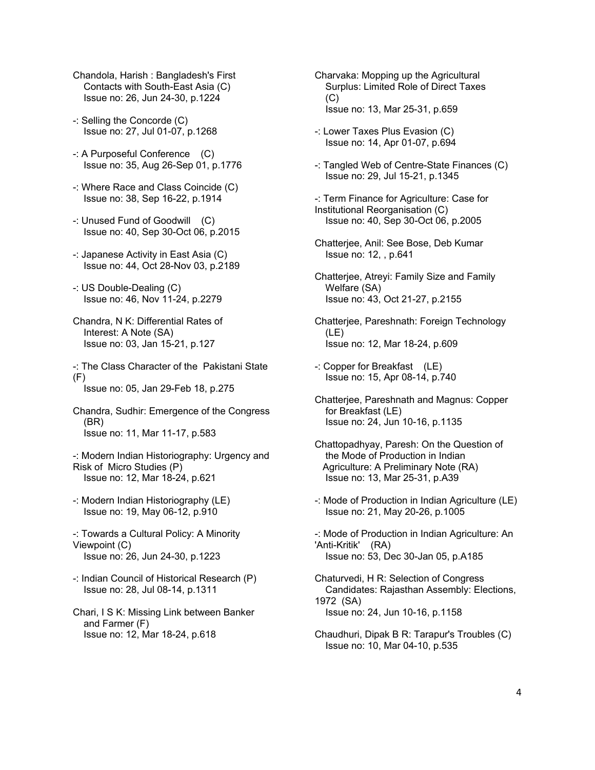- Chandola, Harish : Bangladesh's First Contacts with South-East Asia (C) Issue no: 26, Jun 24-30, p.1224
- -: Selling the Concorde (C) Issue no: 27, Jul 01-07, p.1268
- -: A Purposeful Conference (C) Issue no: 35, Aug 26-Sep 01, p.1776
- -: Where Race and Class Coincide (C) Issue no: 38, Sep 16-22, p.1914
- -: Unused Fund of Goodwill (C) Issue no: 40, Sep 30-Oct 06, p.2015
- -: Japanese Activity in East Asia (C) Issue no: 44, Oct 28-Nov 03, p.2189
- -: US Double-Dealing (C) Issue no: 46, Nov 11-24, p.2279
- Chandra, N K: Differential Rates of Interest: A Note (SA) Issue no: 03, Jan 15-21, p.127
- -: The Class Character of the Pakistani State  $(F)$

Issue no: 05, Jan 29-Feb 18, p.275

Chandra, Sudhir: Emergence of the Congress (BR) Issue no: 11, Mar 11-17, p.583

- -: Modern Indian Historiography: Urgency and Risk of Micro Studies (P) Issue no: 12, Mar 18-24, p.621
- -: Modern Indian Historiography (LE) Issue no: 19, May 06-12, p.910
- -: Towards a Cultural Policy: A Minority Viewpoint (C) Issue no: 26, Jun 24-30, p.1223
- -: Indian Council of Historical Research (P) Issue no: 28, Jul 08-14, p.1311
- Chari, I S K: Missing Link between Banker and Farmer (F) Issue no: 12, Mar 18-24, p.618
- Charvaka: Mopping up the Agricultural Surplus: Limited Role of Direct Taxes  $(C)$ Issue no: 13, Mar 25-31, p.659
- -: Lower Taxes Plus Evasion (C) Issue no: 14, Apr 01-07, p.694
- -: Tangled Web of Centre-State Finances (C) Issue no: 29, Jul 15-21, p.1345
- -: Term Finance for Agriculture: Case for Institutional Reorganisation (C) Issue no: 40, Sep 30-Oct 06, p.2005
- Chatterjee, Anil: See Bose, Deb Kumar Issue no: 12, , p.641
- Chatterjee, Atreyi: Family Size and Family Welfare (SA) Issue no: 43, Oct 21-27, p.2155
- Chatterjee, Pareshnath: Foreign Technology (LE) Issue no: 12, Mar 18-24, p.609
- -: Copper for Breakfast (LE) Issue no: 15, Apr 08-14, p.740
- Chatterjee, Pareshnath and Magnus: Copper for Breakfast (LE) Issue no: 24, Jun 10-16, p.1135
- Chattopadhyay, Paresh: On the Question of the Mode of Production in Indian Agriculture: A Preliminary Note (RA) Issue no: 13, Mar 25-31, p.A39
- -: Mode of Production in Indian Agriculture (LE) Issue no: 21, May 20-26, p.1005
- -: Mode of Production in Indian Agriculture: An 'Anti-Kritik' (RA) Issue no: 53, Dec 30-Jan 05, p.A185
- Chaturvedi, H R: Selection of Congress Candidates: Rajasthan Assembly: Elections, 1972 (SA) Issue no: 24, Jun 10-16, p.1158
- Chaudhuri, Dipak B R: Tarapur's Troubles (C) Issue no: 10, Mar 04-10, p.535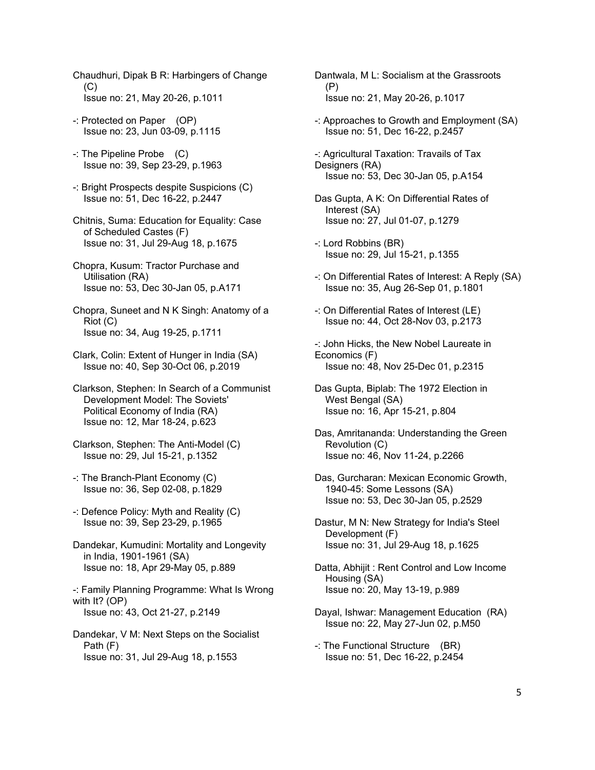- Chaudhuri, Dipak B R: Harbingers of Change  $(C)$ Issue no: 21, May 20-26, p.1011
- -: Protected on Paper (OP) Issue no: 23, Jun 03-09, p.1115
- -: The Pipeline Probe (C) Issue no: 39, Sep 23-29, p.1963
- -: Bright Prospects despite Suspicions (C) Issue no: 51, Dec 16-22, p.2447
- Chitnis, Suma: Education for Equality: Case of Scheduled Castes (F) Issue no: 31, Jul 29-Aug 18, p.1675
- Chopra, Kusum: Tractor Purchase and Utilisation (RA) Issue no: 53, Dec 30-Jan 05, p.A171
- Chopra, Suneet and N K Singh: Anatomy of a Riot (C) Issue no: 34, Aug 19-25, p.1711
- Clark, Colin: Extent of Hunger in India (SA) Issue no: 40, Sep 30-Oct 06, p.2019
- Clarkson, Stephen: In Search of a Communist Development Model: The Soviets' Political Economy of India (RA) Issue no: 12, Mar 18-24, p.623
- Clarkson, Stephen: The Anti-Model (C) Issue no: 29, Jul 15-21, p.1352
- -: The Branch-Plant Economy (C) Issue no: 36, Sep 02-08, p.1829
- -: Defence Policy: Myth and Reality (C) Issue no: 39, Sep 23-29, p.1965
- Dandekar, Kumudini: Mortality and Longevity in India, 1901-1961 (SA) Issue no: 18, Apr 29-May 05, p.889
- -: Family Planning Programme: What Is Wrong with It? (OP) Issue no: 43, Oct 21-27, p.2149
- Dandekar, V M: Next Steps on the Socialist Path (F) Issue no: 31, Jul 29-Aug 18, p.1553
- Dantwala, M L: Socialism at the Grassroots (P) Issue no: 21, May 20-26, p.1017
- -: Approaches to Growth and Employment (SA) Issue no: 51, Dec 16-22, p.2457
- -: Agricultural Taxation: Travails of Tax Designers (RA) Issue no: 53, Dec 30-Jan 05, p.A154
- Das Gupta, A K: On Differential Rates of Interest (SA) Issue no: 27, Jul 01-07, p.1279
- -: Lord Robbins (BR) Issue no: 29, Jul 15-21, p.1355
- -: On Differential Rates of Interest: A Reply (SA) Issue no: 35, Aug 26-Sep 01, p.1801
- -: On Differential Rates of Interest (LE) Issue no: 44, Oct 28-Nov 03, p.2173
- -: John Hicks, the New Nobel Laureate in Economics (F) Issue no: 48, Nov 25-Dec 01, p.2315
- Das Gupta, Biplab: The 1972 Election in West Bengal (SA) Issue no: 16, Apr 15-21, p.804
- Das, Amritananda: Understanding the Green Revolution (C) Issue no: 46, Nov 11-24, p.2266
- Das, Gurcharan: Mexican Economic Growth, 1940-45: Some Lessons (SA) Issue no: 53, Dec 30-Jan 05, p.2529
- Dastur, M N: New Strategy for India's Steel Development (F) Issue no: 31, Jul 29-Aug 18, p.1625
- Datta, Abhijit : Rent Control and Low Income Housing (SA) Issue no: 20, May 13-19, p.989
- Dayal, Ishwar: Management Education (RA) Issue no: 22, May 27-Jun 02, p.M50
- -: The Functional Structure (BR) Issue no: 51, Dec 16-22, p.2454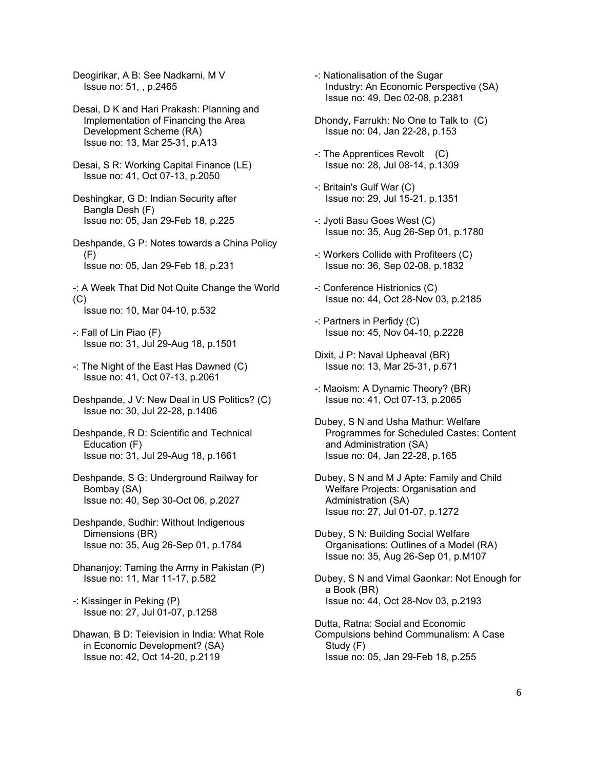Deogirikar, A B: See Nadkarni, M V Issue no: 51, , p.2465

Desai, D K and Hari Prakash: Planning and Implementation of Financing the Area Development Scheme (RA) Issue no: 13, Mar 25-31, p.A13

Desai, S R: Working Capital Finance (LE) Issue no: 41, Oct 07-13, p.2050

Deshingkar, G D: Indian Security after Bangla Desh (F) Issue no: 05, Jan 29-Feb 18, p.225

Deshpande, G P: Notes towards a China Policy (F) Issue no: 05, Jan 29-Feb 18, p.231

-: A Week That Did Not Quite Change the World (C) Issue no: 10, Mar 04-10, p.532

-: Fall of Lin Piao (F) Issue no: 31, Jul 29-Aug 18, p.1501

- -: The Night of the East Has Dawned (C) Issue no: 41, Oct 07-13, p.2061
- Deshpande, J V: New Deal in US Politics? (C) Issue no: 30, Jul 22-28, p.1406
- Deshpande, R D: Scientific and Technical Education (F) Issue no: 31, Jul 29-Aug 18, p.1661
- Deshpande, S G: Underground Railway for Bombay (SA) Issue no: 40, Sep 30-Oct 06, p.2027
- Deshpande, Sudhir: Without Indigenous Dimensions (BR) Issue no: 35, Aug 26-Sep 01, p.1784
- Dhananjoy: Taming the Army in Pakistan (P) Issue no: 11, Mar 11-17, p.582
- -: Kissinger in Peking (P) Issue no: 27, Jul 01-07, p.1258
- Dhawan, B D: Television in India: What Role in Economic Development? (SA) Issue no: 42, Oct 14-20, p.2119
- -: Nationalisation of the Sugar Industry: An Economic Perspective (SA) Issue no: 49, Dec 02-08, p.2381
- Dhondy, Farrukh: No One to Talk to (C) Issue no: 04, Jan 22-28, p.153
- -: The Apprentices Revolt (C) Issue no: 28, Jul 08-14, p.1309
- -: Britain's Gulf War (C) Issue no: 29, Jul 15-21, p.1351
- -: Jyoti Basu Goes West (C) Issue no: 35, Aug 26-Sep 01, p.1780
- -: Workers Collide with Profiteers (C) Issue no: 36, Sep 02-08, p.1832
- -: Conference Histrionics (C) Issue no: 44, Oct 28-Nov 03, p.2185
- -: Partners in Perfidy (C) Issue no: 45, Nov 04-10, p.2228
- Dixit, J P: Naval Upheaval (BR) Issue no: 13, Mar 25-31, p.671
- -: Maoism: A Dynamic Theory? (BR) Issue no: 41, Oct 07-13, p.2065
- Dubey, S N and Usha Mathur: Welfare Programmes for Scheduled Castes: Content and Administration (SA) Issue no: 04, Jan 22-28, p.165
- Dubey, S N and M J Apte: Family and Child Welfare Projects: Organisation and Administration (SA) Issue no: 27, Jul 01-07, p.1272
- Dubey, S N: Building Social Welfare Organisations: Outlines of a Model (RA) Issue no: 35, Aug 26-Sep 01, p.M107
- Dubey, S N and Vimal Gaonkar: Not Enough for a Book (BR) Issue no: 44, Oct 28-Nov 03, p.2193
- Dutta, Ratna: Social and Economic Compulsions behind Communalism: A Case Study (F) Issue no: 05, Jan 29-Feb 18, p.255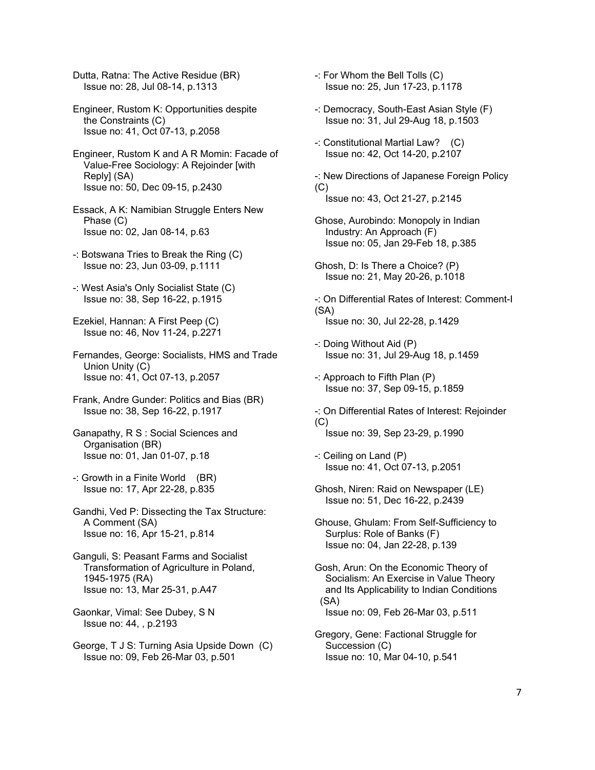Dutta, Ratna: The Active Residue (BR) Issue no: 28, Jul 08-14, p.1313

Engineer, Rustom K: Opportunities despite the Constraints (C) Issue no: 41, Oct 07-13, p.2058

Engineer, Rustom K and A R Momin: Facade of Value-Free Sociology: A Rejoinder [with Reply] (SA) Issue no: 50, Dec 09-15, p.2430

Essack, A K: Namibian Struggle Enters New Phase (C) Issue no: 02, Jan 08-14, p.63

-: Botswana Tries to Break the Ring (C) Issue no: 23, Jun 03-09, p.1111

-: West Asia's Only Socialist State (C) Issue no: 38, Sep 16-22, p.1915

Ezekiel, Hannan: A First Peep (C) Issue no: 46, Nov 11-24, p.2271

Fernandes, George: Socialists, HMS and Trade Union Unity (C) Issue no: 41, Oct 07-13, p.2057

Frank, Andre Gunder: Politics and Bias (BR) Issue no: 38, Sep 16-22, p.1917

Ganapathy, R S : Social Sciences and Organisation (BR) Issue no: 01, Jan 01-07, p.18

-: Growth in a Finite World (BR) Issue no: 17, Apr 22-28, p.835

Gandhi, Ved P: Dissecting the Tax Structure: A Comment (SA) Issue no: 16, Apr 15-21, p.814

Ganguli, S: Peasant Farms and Socialist Transformation of Agriculture in Poland, 1945-1975 (RA) Issue no: 13, Mar 25-31, p.A47

Gaonkar, Vimal: See Dubey, S N Issue no: 44, , p.2193

George, T J S: Turning Asia Upside Down (C) Issue no: 09, Feb 26-Mar 03, p.501

-: For Whom the Bell Tolls (C) Issue no: 25, Jun 17-23, p.1178

-: Democracy, South-East Asian Style (F) Issue no: 31, Jul 29-Aug 18, p.1503

-: Constitutional Martial Law? (C) Issue no: 42, Oct 14-20, p.2107

-: New Directions of Japanese Foreign Policy (C) Issue no: 43, Oct 21-27, p.2145

Ghose, Aurobindo: Monopoly in Indian Industry: An Approach (F) Issue no: 05, Jan 29-Feb 18, p.385

Ghosh, D: Is There a Choice? (P) Issue no: 21, May 20-26, p.1018

-: On Differential Rates of Interest: Comment-I (SA) Issue no: 30, Jul 22-28, p.1429

-: Doing Without Aid (P) Issue no: 31, Jul 29-Aug 18, p.1459

-: Approach to Fifth Plan (P) Issue no: 37, Sep 09-15, p.1859

-: On Differential Rates of Interest: Rejoinder (C) Issue no: 39, Sep 23-29, p.1990

-: Ceiling on Land (P) Issue no: 41, Oct 07-13, p.2051

Ghosh, Niren: Raid on Newspaper (LE) Issue no: 51, Dec 16-22, p.2439

Ghouse, Ghulam: From Self-Sufficiency to Surplus: Role of Banks (F) Issue no: 04, Jan 22-28, p.139

Gosh, Arun: On the Economic Theory of Socialism: An Exercise in Value Theory and Its Applicability to Indian Conditions (SA) Issue no: 09, Feb 26-Mar 03, p.511

Gregory, Gene: Factional Struggle for Succession (C) Issue no: 10, Mar 04-10, p.541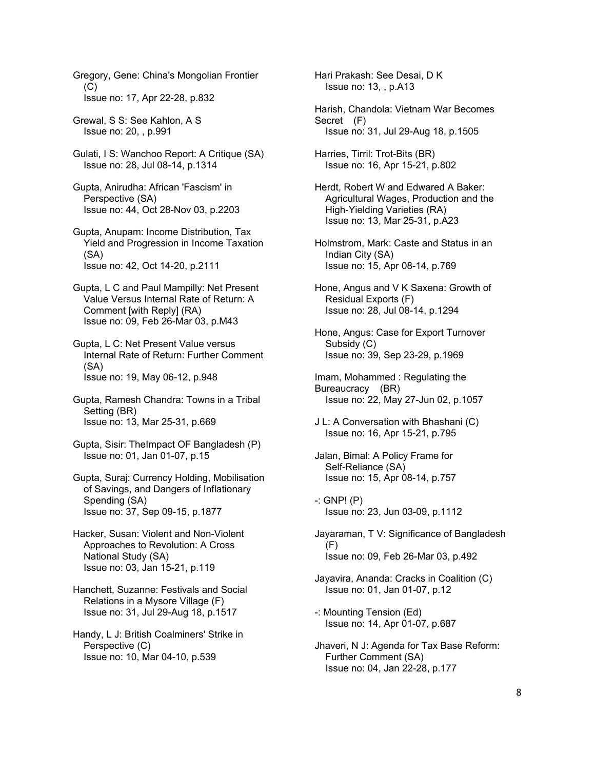Gregory, Gene: China's Mongolian Frontier  $(C)$ Issue no: 17, Apr 22-28, p.832

Grewal, S S: See Kahlon, A S Issue no: 20, , p.991

- Gulati, I S: Wanchoo Report: A Critique (SA) Issue no: 28, Jul 08-14, p.1314
- Gupta, Anirudha: African 'Fascism' in Perspective (SA) Issue no: 44, Oct 28-Nov 03, p.2203
- Gupta, Anupam: Income Distribution, Tax Yield and Progression in Income Taxation (SA) Issue no: 42, Oct 14-20, p.2111
- Gupta, L C and Paul Mampilly: Net Present Value Versus Internal Rate of Return: A Comment [with Reply] (RA) Issue no: 09, Feb 26-Mar 03, p.M43
- Gupta, L C: Net Present Value versus Internal Rate of Return: Further Comment (SA) Issue no: 19, May 06-12, p.948
- Gupta, Ramesh Chandra: Towns in a Tribal Setting (BR) Issue no: 13, Mar 25-31, p.669
- Gupta, Sisir: TheImpact OF Bangladesh (P) Issue no: 01, Jan 01-07, p.15
- Gupta, Suraj: Currency Holding, Mobilisation of Savings, and Dangers of Inflationary Spending (SA) Issue no: 37, Sep 09-15, p.1877
- Hacker, Susan: Violent and Non-Violent Approaches to Revolution: A Cross National Study (SA) Issue no: 03, Jan 15-21, p.119
- Hanchett, Suzanne: Festivals and Social Relations in a Mysore Village (F) Issue no: 31, Jul 29-Aug 18, p.1517
- Handy, L J: British Coalminers' Strike in Perspective (C) Issue no: 10, Mar 04-10, p.539

Hari Prakash: See Desai, D K Issue no: 13, , p.A13

- Harish, Chandola: Vietnam War Becomes Secret (F) Issue no: 31, Jul 29-Aug 18, p.1505
- Harries, Tirril: Trot-Bits (BR) Issue no: 16, Apr 15-21, p.802
- Herdt, Robert W and Edwared A Baker: Agricultural Wages, Production and the High-Yielding Varieties (RA) Issue no: 13, Mar 25-31, p.A23
- Holmstrom, Mark: Caste and Status in an Indian City (SA) Issue no: 15, Apr 08-14, p.769
- Hone, Angus and V K Saxena: Growth of Residual Exports (F) Issue no: 28, Jul 08-14, p.1294
- Hone, Angus: Case for Export Turnover Subsidy (C) Issue no: 39, Sep 23-29, p.1969
- Imam, Mohammed : Regulating the Bureaucracy (BR) Issue no: 22, May 27-Jun 02, p.1057
- J L: A Conversation with Bhashani (C) Issue no: 16, Apr 15-21, p.795
- Jalan, Bimal: A Policy Frame for Self-Reliance (SA) Issue no: 15, Apr 08-14, p.757
- $-$ : GNP!  $(P)$ Issue no: 23, Jun 03-09, p.1112
- Jayaraman, T V: Significance of Bangladesh  $(F)$ Issue no: 09, Feb 26-Mar 03, p.492
- Jayavira, Ananda: Cracks in Coalition (C) Issue no: 01, Jan 01-07, p.12
- -: Mounting Tension (Ed) Issue no: 14, Apr 01-07, p.687
- Jhaveri, N J: Agenda for Tax Base Reform: Further Comment (SA) Issue no: 04, Jan 22-28, p.177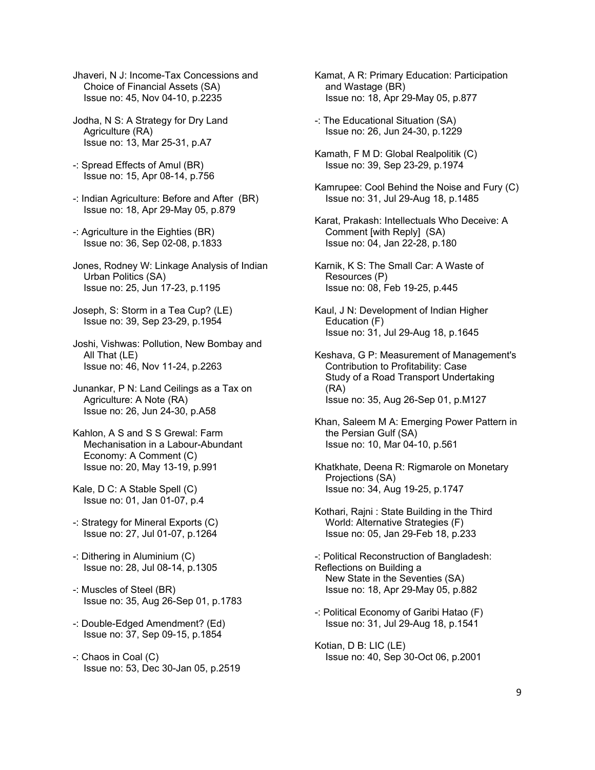- Jhaveri, N J: Income-Tax Concessions and Choice of Financial Assets (SA) Issue no: 45, Nov 04-10, p.2235
- Jodha, N S: A Strategy for Dry Land Agriculture (RA) Issue no: 13, Mar 25-31, p.A7
- -: Spread Effects of Amul (BR) Issue no: 15, Apr 08-14, p.756
- -: Indian Agriculture: Before and After (BR) Issue no: 18, Apr 29-May 05, p.879
- -: Agriculture in the Eighties (BR) Issue no: 36, Sep 02-08, p.1833
- Jones, Rodney W: Linkage Analysis of Indian Urban Politics (SA) Issue no: 25, Jun 17-23, p.1195
- Joseph, S: Storm in a Tea Cup? (LE) Issue no: 39, Sep 23-29, p.1954
- Joshi, Vishwas: Pollution, New Bombay and All That (LE) Issue no: 46, Nov 11-24, p.2263
- Junankar, P N: Land Ceilings as a Tax on Agriculture: A Note (RA) Issue no: 26, Jun 24-30, p.A58
- Kahlon, A S and S S Grewal: Farm Mechanisation in a Labour-Abundant Economy: A Comment (C) Issue no: 20, May 13-19, p.991
- Kale, D C: A Stable Spell (C) Issue no: 01, Jan 01-07, p.4
- -: Strategy for Mineral Exports (C) Issue no: 27, Jul 01-07, p.1264
- -: Dithering in Aluminium (C) Issue no: 28, Jul 08-14, p.1305
- -: Muscles of Steel (BR) Issue no: 35, Aug 26-Sep 01, p.1783
- -: Double-Edged Amendment? (Ed) Issue no: 37, Sep 09-15, p.1854
- -: Chaos in Coal (C) Issue no: 53, Dec 30-Jan 05, p.2519
- Kamat, A R: Primary Education: Participation and Wastage (BR) Issue no: 18, Apr 29-May 05, p.877
- -: The Educational Situation (SA) Issue no: 26, Jun 24-30, p.1229
- Kamath, F M D: Global Realpolitik (C) Issue no: 39, Sep 23-29, p.1974
- Kamrupee: Cool Behind the Noise and Fury (C) Issue no: 31, Jul 29-Aug 18, p.1485
- Karat, Prakash: Intellectuals Who Deceive: A Comment [with Reply] (SA) Issue no: 04, Jan 22-28, p.180
- Karnik, K S: The Small Car: A Waste of Resources (P) Issue no: 08, Feb 19-25, p.445
- Kaul, J N: Development of Indian Higher Education (F) Issue no: 31, Jul 29-Aug 18, p.1645
- Keshava, G P: Measurement of Management's Contribution to Profitability: Case Study of a Road Transport Undertaking (RA) Issue no: 35, Aug 26-Sep 01, p.M127
- Khan, Saleem M A: Emerging Power Pattern in the Persian Gulf (SA) Issue no: 10, Mar 04-10, p.561
- Khatkhate, Deena R: Rigmarole on Monetary Projections (SA) Issue no: 34, Aug 19-25, p.1747
- Kothari, Rajni : State Building in the Third World: Alternative Strategies (F) Issue no: 05, Jan 29-Feb 18, p.233
- -: Political Reconstruction of Bangladesh: Reflections on Building a New State in the Seventies (SA) Issue no: 18, Apr 29-May 05, p.882
- -: Political Economy of Garibi Hatao (F) Issue no: 31, Jul 29-Aug 18, p.1541
- Kotian, D B: LIC (LE) Issue no: 40, Sep 30-Oct 06, p.2001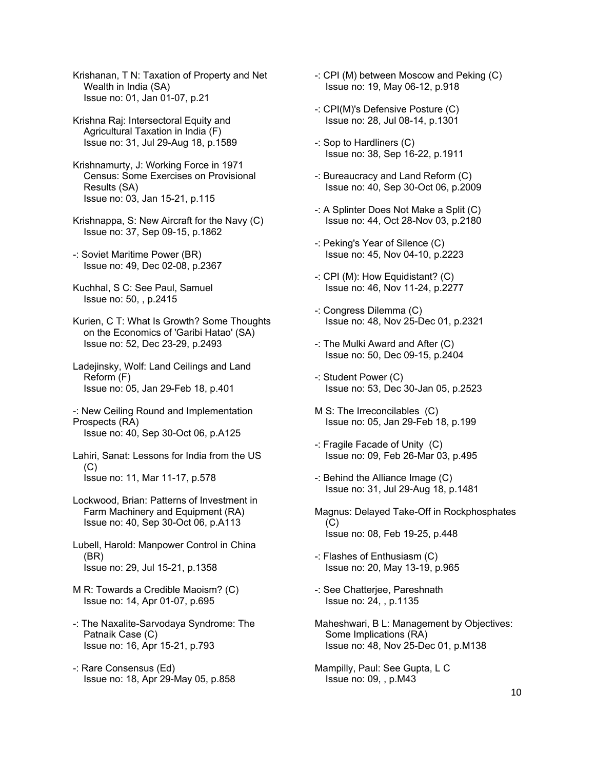Krishanan, T N: Taxation of Property and Net Wealth in India (SA) Issue no: 01, Jan 01-07, p.21

Krishna Raj: Intersectoral Equity and Agricultural Taxation in India (F) Issue no: 31, Jul 29-Aug 18, p.1589

- Krishnamurty, J: Working Force in 1971 Census: Some Exercises on Provisional Results (SA) Issue no: 03, Jan 15-21, p.115
- Krishnappa, S: New Aircraft for the Navy (C) Issue no: 37, Sep 09-15, p.1862
- -: Soviet Maritime Power (BR) Issue no: 49, Dec 02-08, p.2367
- Kuchhal, S C: See Paul, Samuel Issue no: 50, , p.2415
- Kurien, C T: What Is Growth? Some Thoughts on the Economics of 'Garibi Hatao' (SA) Issue no: 52, Dec 23-29, p.2493
- Ladejinsky, Wolf: Land Ceilings and Land Reform (F) Issue no: 05, Jan 29-Feb 18, p.401

-: New Ceiling Round and Implementation Prospects (RA) Issue no: 40, Sep 30-Oct 06, p.A125

- Lahiri, Sanat: Lessons for India from the US  $(C)$ Issue no: 11, Mar 11-17, p.578
- Lockwood, Brian: Patterns of Investment in Farm Machinery and Equipment (RA) Issue no: 40, Sep 30-Oct 06, p.A113
- Lubell, Harold: Manpower Control in China (BR) Issue no: 29, Jul 15-21, p.1358
- M R: Towards a Credible Maoism? (C) Issue no: 14, Apr 01-07, p.695
- -: The Naxalite-Sarvodaya Syndrome: The Patnaik Case (C) Issue no: 16, Apr 15-21, p.793
- -: Rare Consensus (Ed) Issue no: 18, Apr 29-May 05, p.858
- -: CPI (M) between Moscow and Peking (C) Issue no: 19, May 06-12, p.918
- -: CPI(M)'s Defensive Posture (C) Issue no: 28, Jul 08-14, p.1301
- -: Sop to Hardliners (C) Issue no: 38, Sep 16-22, p.1911
- -: Bureaucracy and Land Reform (C) Issue no: 40, Sep 30-Oct 06, p.2009
- -: A Splinter Does Not Make a Split (C) Issue no: 44, Oct 28-Nov 03, p.2180
- -: Peking's Year of Silence (C) Issue no: 45, Nov 04-10, p.2223
- -: CPI (M): How Equidistant? (C) Issue no: 46, Nov 11-24, p.2277
- -: Congress Dilemma (C) Issue no: 48, Nov 25-Dec 01, p.2321
- -: The Mulki Award and After (C) Issue no: 50, Dec 09-15, p.2404
- -: Student Power (C) Issue no: 53, Dec 30-Jan 05, p.2523
- M S: The Irreconcilables (C) Issue no: 05, Jan 29-Feb 18, p.199
- -: Fragile Facade of Unity (C) Issue no: 09, Feb 26-Mar 03, p.495
- -: Behind the Alliance Image (C) Issue no: 31, Jul 29-Aug 18, p.1481
- Magnus: Delayed Take-Off in Rockphosphates (C) Issue no: 08, Feb 19-25, p.448
- -: Flashes of Enthusiasm (C) Issue no: 20, May 13-19, p.965
- -: See Chatterjee, Pareshnath Issue no: 24, , p.1135
- Maheshwari, B L: Management by Objectives: Some Implications (RA) Issue no: 48, Nov 25-Dec 01, p.M138
- Mampilly, Paul: See Gupta, L C Issue no: 09, , p.M43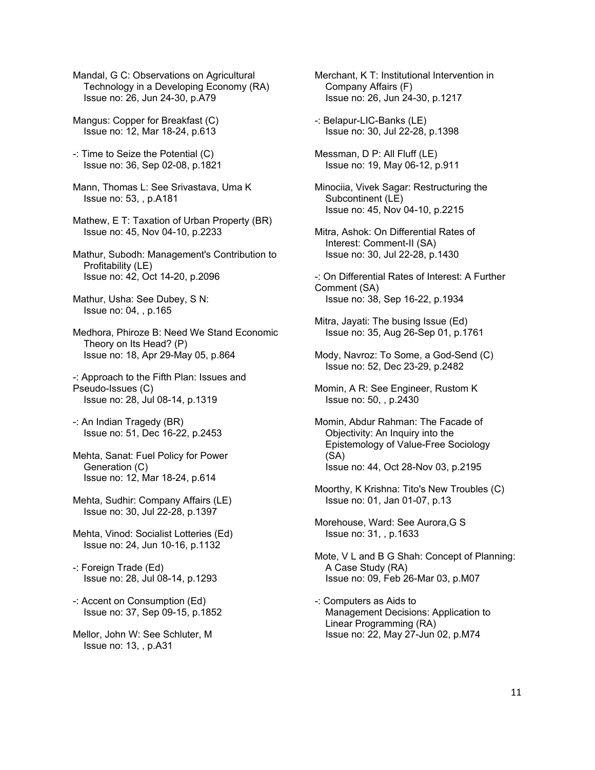Mandal, G C: Observations on Agricultural Technology in a Developing Economy (RA) Issue no: 26, Jun 24-30, p.A79

Mangus: Copper for Breakfast (C) Issue no: 12, Mar 18-24, p.613

-: Time to Seize the Potential (C) Issue no: 36, Sep 02-08, p.1821

Mann, Thomas L: See Srivastava, Uma K Issue no: 53, , p.A181

Mathew, E T: Taxation of Urban Property (BR) Issue no: 45, Nov 04-10, p.2233

Mathur, Subodh: Management's Contribution to Profitability (LE) Issue no: 42, Oct 14-20, p.2096

Mathur, Usha: See Dubey, S N: Issue no: 04, , p.165

Medhora, Phiroze B: Need We Stand Economic Theory on Its Head? (P) Issue no: 18, Apr 29-May 05, p.864

-: Approach to the Fifth Plan: Issues and Pseudo-Issues (C) Issue no: 28, Jul 08-14, p.1319

-: An Indian Tragedy (BR) Issue no: 51, Dec 16-22, p.2453

Mehta, Sanat: Fuel Policy for Power Generation (C) Issue no: 12, Mar 18-24, p.614

Mehta, Sudhir: Company Affairs (LE) Issue no: 30, Jul 22-28, p.1397

Mehta, Vinod: Socialist Lotteries (Ed) Issue no: 24, Jun 10-16, p.1132

-: Foreign Trade (Ed) Issue no: 28, Jul 08-14, p.1293

-: Accent on Consumption (Ed) Issue no: 37, Sep 09-15, p.1852

Mellor, John W: See Schluter, M Issue no: 13, , p.A31

Merchant, K T: Institutional Intervention in Company Affairs (F) Issue no: 26, Jun 24-30, p.1217

-: Belapur-LIC-Banks (LE) Issue no: 30, Jul 22-28, p.1398

Messman, D P: All Fluff (LE) Issue no: 19, May 06-12, p.911

Minociia, Vivek Sagar: Restructuring the Subcontinent (LE) Issue no: 45, Nov 04-10, p.2215

Mitra, Ashok: On Differential Rates of Interest: Comment-II (SA) Issue no: 30, Jul 22-28, p.1430

-: On Differential Rates of Interest: A Further Comment (SA) Issue no: 38, Sep 16-22, p.1934

Mitra, Jayati: The busing Issue (Ed) Issue no: 35, Aug 26-Sep 01, p.1761

Mody, Navroz: To Some, a God-Send (C) Issue no: 52, Dec 23-29, p.2482

Momin, A R: See Engineer, Rustom K Issue no: 50, , p.2430

Momin, Abdur Rahman: The Facade of Objectivity: An Inquiry into the Epistemology of Value-Free Sociology (SA) Issue no: 44, Oct 28-Nov 03, p.2195

Moorthy, K Krishna: Tito's New Troubles (C) Issue no: 01, Jan 01-07, p.13

Morehouse, Ward: See Aurora,G S Issue no: 31, , p.1633

Mote, V L and B G Shah: Concept of Planning: A Case Study (RA) Issue no: 09, Feb 26-Mar 03, p.M07

-: Computers as Aids to Management Decisions: Application to Linear Programming (RA) Issue no: 22, May 27-Jun 02, p.M74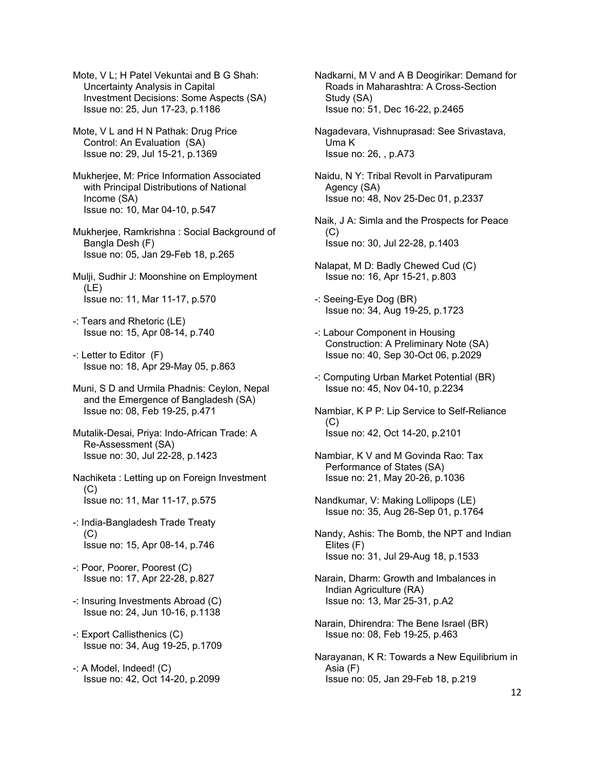Mote, V L; H Patel Vekuntai and B G Shah: Uncertainty Analysis in Capital Investment Decisions: Some Aspects (SA) Issue no: 25, Jun 17-23, p.1186

Mote, V L and H N Pathak: Drug Price Control: An Evaluation (SA) Issue no: 29, Jul 15-21, p.1369

Mukherjee, M: Price Information Associated with Principal Distributions of National Income (SA) Issue no: 10, Mar 04-10, p.547

Mukherjee, Ramkrishna : Social Background of Bangla Desh (F) Issue no: 05, Jan 29-Feb 18, p.265

Mulji, Sudhir J: Moonshine on Employment (LE) Issue no: 11, Mar 11-17, p.570

- -: Tears and Rhetoric (LE) Issue no: 15, Apr 08-14, p.740
- -: Letter to Editor (F) Issue no: 18, Apr 29-May 05, p.863

Muni, S D and Urmila Phadnis: Ceylon, Nepal and the Emergence of Bangladesh (SA) Issue no: 08, Feb 19-25, p.471

- Mutalik-Desai, Priya: Indo-African Trade: A Re-Assessment (SA) Issue no: 30, Jul 22-28, p.1423
- Nachiketa : Letting up on Foreign Investment (C) Issue no: 11, Mar 11-17, p.575
- -: India-Bangladesh Trade Treaty  $(C)$ Issue no: 15, Apr 08-14, p.746
- -: Poor, Poorer, Poorest (C) Issue no: 17, Apr 22-28, p.827
- -: Insuring Investments Abroad (C) Issue no: 24, Jun 10-16, p.1138
- -: Export Callisthenics (C) Issue no: 34, Aug 19-25, p.1709
- -: A Model, Indeed! (C) Issue no: 42, Oct 14-20, p.2099

Nadkarni, M V and A B Deogirikar: Demand for Roads in Maharashtra: A Cross-Section Study (SA) Issue no: 51, Dec 16-22, p.2465

Nagadevara, Vishnuprasad: See Srivastava, Uma K Issue no: 26, , p.A73

Naidu, N Y: Tribal Revolt in Parvatipuram Agency (SA) Issue no: 48, Nov 25-Dec 01, p.2337

- Naik, J A: Simla and the Prospects for Peace  $(C)$ Issue no: 30, Jul 22-28, p.1403
- Nalapat, M D: Badly Chewed Cud (C) Issue no: 16, Apr 15-21, p.803
- -: Seeing-Eye Dog (BR) Issue no: 34, Aug 19-25, p.1723
- -: Labour Component in Housing Construction: A Preliminary Note (SA) Issue no: 40, Sep 30-Oct 06, p.2029
- -: Computing Urban Market Potential (BR) Issue no: 45, Nov 04-10, p.2234
- Nambiar, K P P: Lip Service to Self-Reliance (C) Issue no: 42, Oct 14-20, p.2101
- Nambiar, K V and M Govinda Rao: Tax Performance of States (SA) Issue no: 21, May 20-26, p.1036
- Nandkumar, V: Making Lollipops (LE) Issue no: 35, Aug 26-Sep 01, p.1764
- Nandy, Ashis: The Bomb, the NPT and Indian Elites (F) Issue no: 31, Jul 29-Aug 18, p.1533
- Narain, Dharm: Growth and Imbalances in Indian Agriculture (RA) Issue no: 13, Mar 25-31, p.A2
- Narain, Dhirendra: The Bene Israel (BR) Issue no: 08, Feb 19-25, p.463
- Narayanan, K R: Towards a New Equilibrium in Asia (F) Issue no: 05, Jan 29-Feb 18, p.219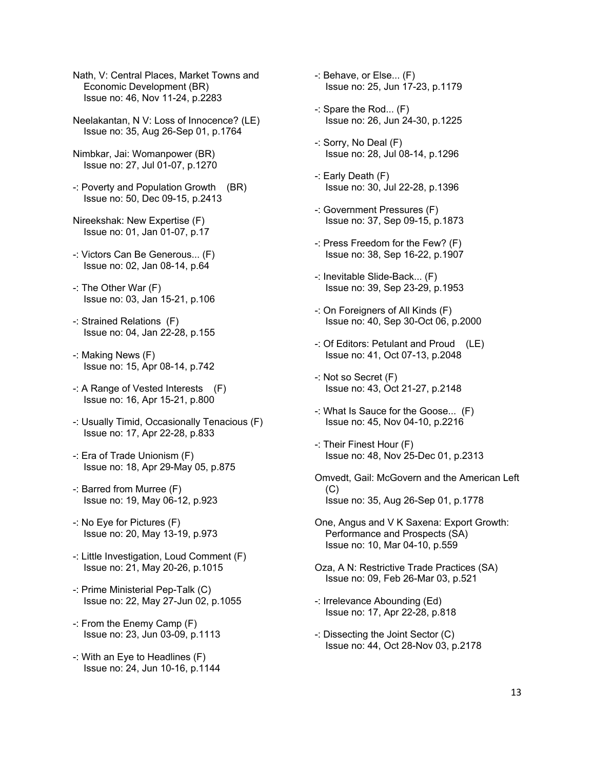- Nath, V: Central Places, Market Towns and Economic Development (BR) Issue no: 46, Nov 11-24, p.2283
- Neelakantan, N V: Loss of Innocence? (LE) Issue no: 35, Aug 26-Sep 01, p.1764
- Nimbkar, Jai: Womanpower (BR) Issue no: 27, Jul 01-07, p.1270
- -: Poverty and Population Growth (BR) Issue no: 50, Dec 09-15, p.2413
- Nireekshak: New Expertise (F) Issue no: 01, Jan 01-07, p.17
- -: Victors Can Be Generous... (F) Issue no: 02, Jan 08-14, p.64
- -: The Other War (F) Issue no: 03, Jan 15-21, p.106
- -: Strained Relations (F) Issue no: 04, Jan 22-28, p.155
- -: Making News (F) Issue no: 15, Apr 08-14, p.742
- -: A Range of Vested Interests (F) Issue no: 16, Apr 15-21, p.800
- -: Usually Timid, Occasionally Tenacious (F) Issue no: 17, Apr 22-28, p.833
- -: Era of Trade Unionism (F) Issue no: 18, Apr 29-May 05, p.875
- -: Barred from Murree (F) Issue no: 19, May 06-12, p.923
- -: No Eye for Pictures (F) Issue no: 20, May 13-19, p.973
- -: Little Investigation, Loud Comment (F) Issue no: 21, May 20-26, p.1015
- -: Prime Ministerial Pep-Talk (C) Issue no: 22, May 27-Jun 02, p.1055
- -: From the Enemy Camp (F) Issue no: 23, Jun 03-09, p.1113
- -: With an Eye to Headlines (F) Issue no: 24, Jun 10-16, p.1144
- -: Behave, or Else... (F) Issue no: 25, Jun 17-23, p.1179
- -: Spare the Rod... (F) Issue no: 26, Jun 24-30, p.1225
- -: Sorry, No Deal (F) Issue no: 28, Jul 08-14, p.1296
- -: Early Death (F) Issue no: 30, Jul 22-28, p.1396
- -: Government Pressures (F) Issue no: 37, Sep 09-15, p.1873
- -: Press Freedom for the Few? (F) Issue no: 38, Sep 16-22, p.1907
- -: Inevitable Slide-Back... (F) Issue no: 39, Sep 23-29, p.1953
- -: On Foreigners of All Kinds (F) Issue no: 40, Sep 30-Oct 06, p.2000
- -: Of Editors: Petulant and Proud (LE) Issue no: 41, Oct 07-13, p.2048
- -: Not so Secret (F) Issue no: 43, Oct 21-27, p.2148
- -: What Is Sauce for the Goose... (F) Issue no: 45, Nov 04-10, p.2216
- -: Their Finest Hour (F) Issue no: 48, Nov 25-Dec 01, p.2313
- Omvedt, Gail: McGovern and the American Left (C) Issue no: 35, Aug 26-Sep 01, p.1778
- One, Angus and V K Saxena: Export Growth: Performance and Prospects (SA) Issue no: 10, Mar 04-10, p.559
- Oza, A N: Restrictive Trade Practices (SA) Issue no: 09, Feb 26-Mar 03, p.521
- -: Irrelevance Abounding (Ed) Issue no: 17, Apr 22-28, p.818
- -: Dissecting the Joint Sector (C) Issue no: 44, Oct 28-Nov 03, p.2178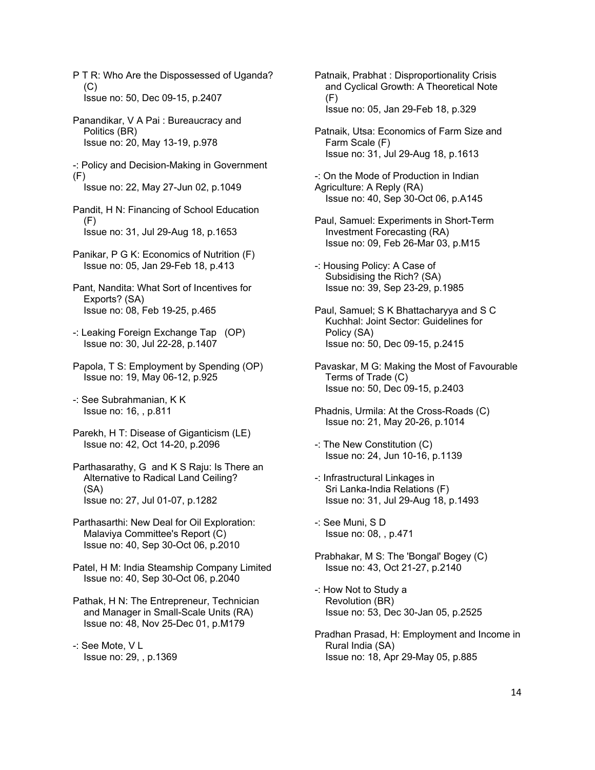P T R: Who Are the Dispossessed of Uganda?  $(C)$ Issue no: 50, Dec 09-15, p.2407

Panandikar, V A Pai : Bureaucracy and Politics (BR) Issue no: 20, May 13-19, p.978

-: Policy and Decision-Making in Government  $(F)$ 

Issue no: 22, May 27-Jun 02, p.1049

- Pandit, H N: Financing of School Education  $(F)$ Issue no: 31, Jul 29-Aug 18, p.1653
- Panikar, P G K: Economics of Nutrition (F) Issue no: 05, Jan 29-Feb 18, p.413
- Pant, Nandita: What Sort of Incentives for Exports? (SA) Issue no: 08, Feb 19-25, p.465
- -: Leaking Foreign Exchange Tap (OP) Issue no: 30, Jul 22-28, p.1407
- Papola, T S: Employment by Spending (OP) Issue no: 19, May 06-12, p.925

-: See Subrahmanian, K K Issue no: 16, , p.811

- Parekh, H T: Disease of Giganticism (LE) Issue no: 42, Oct 14-20, p.2096
- Parthasarathy, G and K S Raju: Is There an Alternative to Radical Land Ceiling? (SA) Issue no: 27, Jul 01-07, p.1282
- Parthasarthi: New Deal for Oil Exploration: Malaviya Committee's Report (C) Issue no: 40, Sep 30-Oct 06, p.2010

Patel, H M: India Steamship Company Limited Issue no: 40, Sep 30-Oct 06, p.2040

Pathak, H N: The Entrepreneur, Technician and Manager in Small-Scale Units (RA) Issue no: 48, Nov 25-Dec 01, p.M179

-: See Mote, V L Issue no: 29, , p.1369 Patnaik, Prabhat : Disproportionality Crisis and Cyclical Growth: A Theoretical Note  $(F)$ Issue no: 05, Jan 29-Feb 18, p.329

Patnaik, Utsa: Economics of Farm Size and Farm Scale (F) Issue no: 31, Jul 29-Aug 18, p.1613

- -: On the Mode of Production in Indian Agriculture: A Reply (RA) Issue no: 40, Sep 30-Oct 06, p.A145
- Paul, Samuel: Experiments in Short-Term Investment Forecasting (RA) Issue no: 09, Feb 26-Mar 03, p.M15
- -: Housing Policy: A Case of Subsidising the Rich? (SA) Issue no: 39, Sep 23-29, p.1985

Paul, Samuel; S K Bhattacharyya and S C Kuchhal: Joint Sector: Guidelines for Policy (SA) Issue no: 50, Dec 09-15, p.2415

- Pavaskar, M G: Making the Most of Favourable Terms of Trade (C) Issue no: 50, Dec 09-15, p.2403
- Phadnis, Urmila: At the Cross-Roads (C) Issue no: 21, May 20-26, p.1014
- -: The New Constitution (C) Issue no: 24, Jun 10-16, p.1139
- -: Infrastructural Linkages in Sri Lanka-India Relations (F) Issue no: 31, Jul 29-Aug 18, p.1493
- -: See Muni, S D Issue no: 08, , p.471
- Prabhakar, M S: The 'Bongal' Bogey (C) Issue no: 43, Oct 21-27, p.2140
- -: How Not to Study a Revolution (BR) Issue no: 53, Dec 30-Jan 05, p.2525
- Pradhan Prasad, H: Employment and Income in Rural India (SA) Issue no: 18, Apr 29-May 05, p.885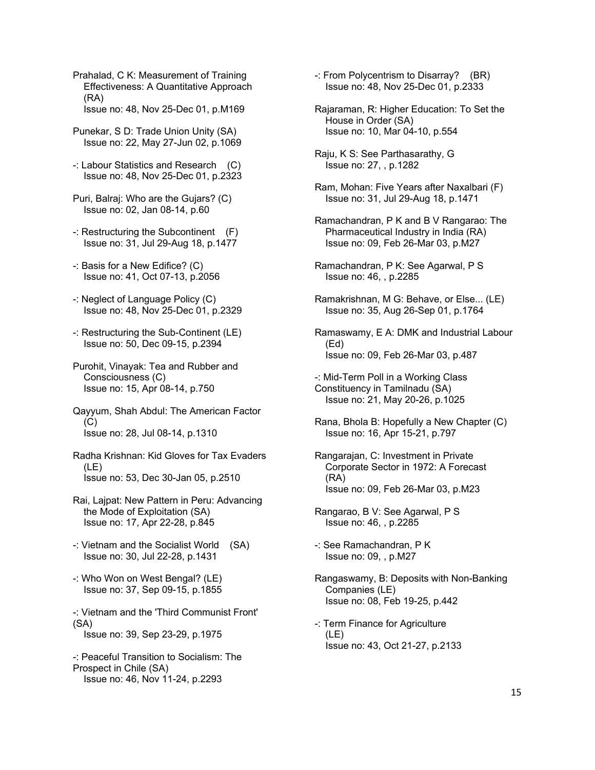Prahalad, C K: Measurement of Training Effectiveness: A Quantitative Approach (RA) Issue no: 48, Nov 25-Dec 01, p.M169

- Punekar, S D: Trade Union Unity (SA) Issue no: 22, May 27-Jun 02, p.1069
- -: Labour Statistics and Research (C) Issue no: 48, Nov 25-Dec 01, p.2323
- Puri, Balraj: Who are the Gujars? (C) Issue no: 02, Jan 08-14, p.60
- -: Restructuring the Subcontinent (F) Issue no: 31, Jul 29-Aug 18, p.1477
- -: Basis for a New Edifice? (C) Issue no: 41, Oct 07-13, p.2056
- -: Neglect of Language Policy (C) Issue no: 48, Nov 25-Dec 01, p.2329
- -: Restructuring the Sub-Continent (LE) Issue no: 50, Dec 09-15, p.2394
- Purohit, Vinayak: Tea and Rubber and Consciousness (C) Issue no: 15, Apr 08-14, p.750
- Qayyum, Shah Abdul: The American Factor (C) Issue no: 28, Jul 08-14, p.1310
- Radha Krishnan: Kid Gloves for Tax Evaders  $(1F)$ Issue no: 53, Dec 30-Jan 05, p.2510
- Rai, Lajpat: New Pattern in Peru: Advancing the Mode of Exploitation (SA) Issue no: 17, Apr 22-28, p.845
- -: Vietnam and the Socialist World (SA) Issue no: 30, Jul 22-28, p.1431
- -: Who Won on West Bengal? (LE) Issue no: 37, Sep 09-15, p.1855
- -: Vietnam and the 'Third Communist Front' (SA) Issue no: 39, Sep 23-29, p.1975
- -: Peaceful Transition to Socialism: The Prospect in Chile (SA) Issue no: 46, Nov 11-24, p.2293
- -: From Polycentrism to Disarray? (BR) Issue no: 48, Nov 25-Dec 01, p.2333
- Rajaraman, R: Higher Education: To Set the House in Order (SA) Issue no: 10, Mar 04-10, p.554
- Raju, K S: See Parthasarathy, G Issue no: 27, , p.1282
- Ram, Mohan: Five Years after Naxalbari (F) Issue no: 31, Jul 29-Aug 18, p.1471
- Ramachandran, P K and B V Rangarao: The Pharmaceutical Industry in India (RA) Issue no: 09, Feb 26-Mar 03, p.M27
- Ramachandran, P K: See Agarwal, P S Issue no: 46, , p.2285
- Ramakrishnan, M G: Behave, or Else... (LE) Issue no: 35, Aug 26-Sep 01, p.1764
- Ramaswamy, E A: DMK and Industrial Labour (Ed) Issue no: 09, Feb 26-Mar 03, p.487
- -: Mid-Term Poll in a Working Class Constituency in Tamilnadu (SA) Issue no: 21, May 20-26, p.1025
- Rana, Bhola B: Hopefully a New Chapter (C) Issue no: 16, Apr 15-21, p.797
- Rangarajan, C: Investment in Private Corporate Sector in 1972: A Forecast (RA) Issue no: 09, Feb 26-Mar 03, p.M23
- Rangarao, B V: See Agarwal, P S Issue no: 46, , p.2285
- -: See Ramachandran, P K Issue no: 09, , p.M27
- Rangaswamy, B: Deposits with Non-Banking Companies (LE) Issue no: 08, Feb 19-25, p.442
- -: Term Finance for Agriculture (LE) Issue no: 43, Oct 21-27, p.2133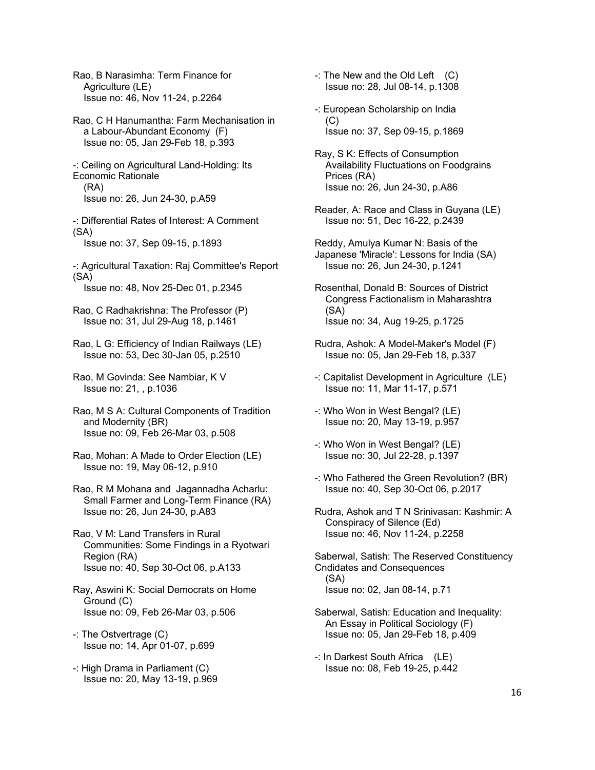Rao, B Narasimha: Term Finance for Agriculture (LE) Issue no: 46, Nov 11-24, p.2264

Rao, C H Hanumantha: Farm Mechanisation in a Labour-Abundant Economy (F) Issue no: 05, Jan 29-Feb 18, p.393

-: Ceiling on Agricultural Land-Holding: Its Economic Rationale (RA) Issue no: 26, Jun 24-30, p.A59

-: Differential Rates of Interest: A Comment (SA) Issue no: 37, Sep 09-15, p.1893

-: Agricultural Taxation: Raj Committee's Report (SA)

Issue no: 48, Nov 25-Dec 01, p.2345

Rao, C Radhakrishna: The Professor (P) Issue no: 31, Jul 29-Aug 18, p.1461

Rao, L G: Efficiency of Indian Railways (LE) Issue no: 53, Dec 30-Jan 05, p.2510

Rao, M Govinda: See Nambiar, K V Issue no: 21, , p.1036

Rao, M S A: Cultural Components of Tradition and Modernity (BR) Issue no: 09, Feb 26-Mar 03, p.508

Rao, Mohan: A Made to Order Election (LE) Issue no: 19, May 06-12, p.910

Rao, R M Mohana and Jagannadha Acharlu: Small Farmer and Long-Term Finance (RA) Issue no: 26, Jun 24-30, p.A83

Rao, V M: Land Transfers in Rural Communities: Some Findings in a Ryotwari Region (RA) Issue no: 40, Sep 30-Oct 06, p.A133

Ray, Aswini K: Social Democrats on Home Ground (C) Issue no: 09, Feb 26-Mar 03, p.506

-: The Ostvertrage (C) Issue no: 14, Apr 01-07, p.699

-: High Drama in Parliament (C) Issue no: 20, May 13-19, p.969  $-$ : The New and the Old Left  $(C)$ Issue no: 28, Jul 08-14, p.1308

-: European Scholarship on India (C) Issue no: 37, Sep 09-15, p.1869

Ray, S K: Effects of Consumption Availability Fluctuations on Foodgrains Prices (RA) Issue no: 26, Jun 24-30, p.A86

Reader, A: Race and Class in Guyana (LE) Issue no: 51, Dec 16-22, p.2439

Reddy, Amulya Kumar N: Basis of the Japanese 'Miracle': Lessons for India (SA) Issue no: 26, Jun 24-30, p.1241

Rosenthal, Donald B: Sources of District Congress Factionalism in Maharashtra (SA) Issue no: 34, Aug 19-25, p.1725

Rudra, Ashok: A Model-Maker's Model (F) Issue no: 05, Jan 29-Feb 18, p.337

-: Capitalist Development in Agriculture (LE) Issue no: 11, Mar 11-17, p.571

-: Who Won in West Bengal? (LE) Issue no: 20, May 13-19, p.957

-: Who Won in West Bengal? (LE) Issue no: 30, Jul 22-28, p.1397

-: Who Fathered the Green Revolution? (BR) Issue no: 40, Sep 30-Oct 06, p.2017

Rudra, Ashok and T N Srinivasan: Kashmir: A Conspiracy of Silence (Ed) Issue no: 46, Nov 11-24, p.2258

Saberwal, Satish: The Reserved Constituency Cndidates and Consequences (SA) Issue no: 02, Jan 08-14, p.71

Saberwal, Satish: Education and Inequality: An Essay in Political Sociology (F) Issue no: 05, Jan 29-Feb 18, p.409

-: In Darkest South Africa (LE) Issue no: 08, Feb 19-25, p.442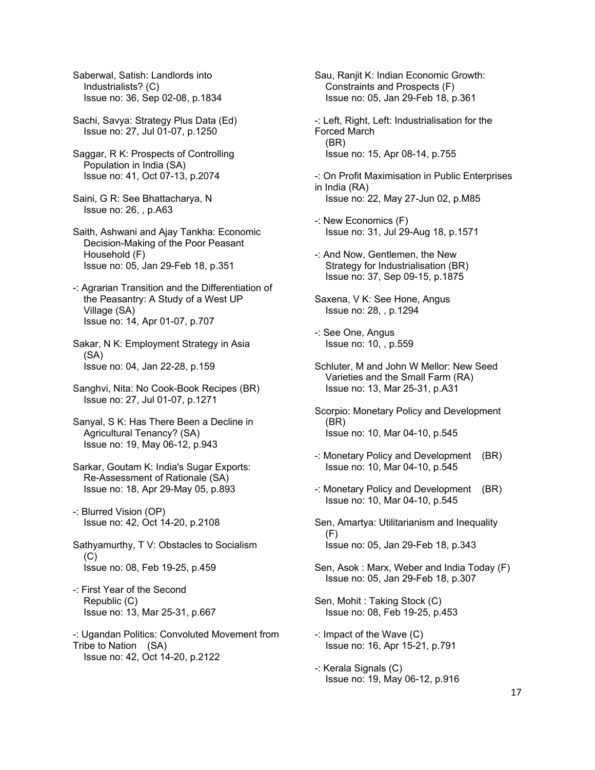Saberwal, Satish: Landlords into Industrialists? (C) Issue no: 36, Sep 02-08, p.1834

- Sachi, Savya: Strategy Plus Data (Ed) Issue no: 27, Jul 01-07, p.1250
- Saggar, R K: Prospects of Controlling Population in India (SA) Issue no: 41, Oct 07-13, p.2074
- Saini, G R: See Bhattacharya, N Issue no: 26, , p.A63
- Saith, Ashwani and Ajay Tankha: Economic Decision-Making of the Poor Peasant Household (F) Issue no: 05, Jan 29-Feb 18, p.351
- -: Agrarian Transition and the Differentiation of the Peasantry: A Study of a West UP Village (SA) Issue no: 14, Apr 01-07, p.707
- Sakar, N K: Employment Strategy in Asia (SA) Issue no: 04, Jan 22-28, p.159
- Sanghvi, Nita: No Cook-Book Recipes (BR) Issue no: 27, Jul 01-07, p.1271
- Sanyal, S K: Has There Been a Decline in Agricultural Tenancy? (SA) Issue no: 19, May 06-12, p.943
- Sarkar, Goutam K: India's Sugar Exports: Re-Assessment of Rationale (SA) Issue no: 18, Apr 29-May 05, p.893
- -: Blurred Vision (OP) Issue no: 42, Oct 14-20, p.2108
- Sathyamurthy, T V: Obstacles to Socialism (C) Issue no: 08, Feb 19-25, p.459
- -: First Year of the Second Republic (C) Issue no: 13, Mar 25-31, p.667
- -: Ugandan Politics: Convoluted Movement from Tribe to Nation (SA) Issue no: 42, Oct 14-20, p.2122
- Sau, Ranjit K: Indian Economic Growth: Constraints and Prospects (F) Issue no: 05, Jan 29-Feb 18, p.361
- -: Left, Right, Left: Industrialisation for the Forced March (BR) Issue no: 15, Apr 08-14, p.755
- -: On Profit Maximisation in Public Enterprises in India (RA) Issue no: 22, May 27-Jun 02, p.M85
- -: New Economics (F) Issue no: 31, Jul 29-Aug 18, p.1571
- -: And Now, Gentlemen, the New Strategy for Industrialisation (BR) Issue no: 37, Sep 09-15, p.1875
- Saxena, V K: See Hone, Angus Issue no: 28, , p.1294
- -: See One, Angus Issue no: 10, , p.559
- Schluter, M and John W Mellor: New Seed Varieties and the Small Farm (RA) Issue no: 13, Mar 25-31, p.A31
- Scorpio: Monetary Policy and Development (BR) Issue no: 10, Mar 04-10, p.545
- -: Monetary Policy and Development (BR) Issue no: 10, Mar 04-10, p.545
- -: Monetary Policy and Development (BR) Issue no: 10, Mar 04-10, p.545
- Sen, Amartya: Utilitarianism and Inequality  $(F)$ Issue no: 05, Jan 29-Feb 18, p.343
- Sen, Asok : Marx, Weber and India Today (F) Issue no: 05, Jan 29-Feb 18, p.307
- Sen, Mohit : Taking Stock (C) Issue no: 08, Feb 19-25, p.453
- -: Impact of the Wave (C) Issue no: 16, Apr 15-21, p.791
- -: Kerala Signals (C) Issue no: 19, May 06-12, p.916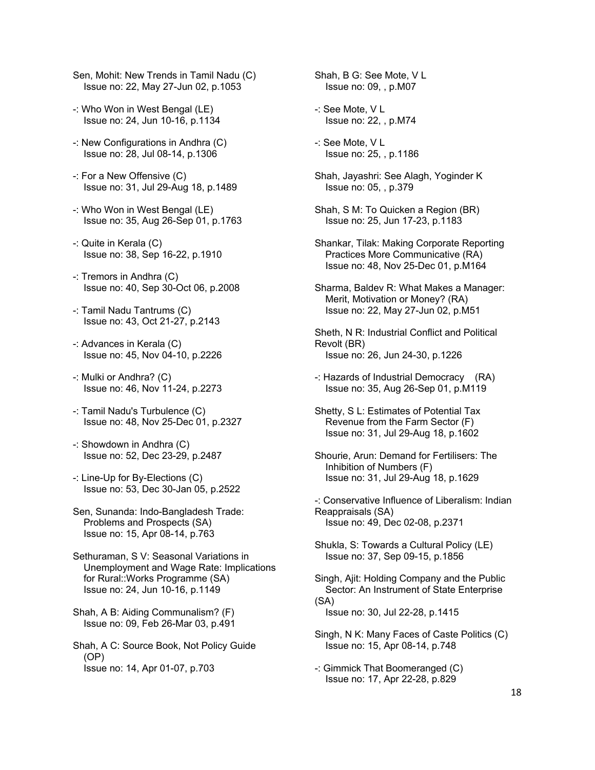- Sen, Mohit: New Trends in Tamil Nadu (C) Issue no: 22, May 27-Jun 02, p.1053
- -: Who Won in West Bengal (LE) Issue no: 24, Jun 10-16, p.1134
- -: New Configurations in Andhra (C) Issue no: 28, Jul 08-14, p.1306
- -: For a New Offensive (C) Issue no: 31, Jul 29-Aug 18, p.1489
- -: Who Won in West Bengal (LE) Issue no: 35, Aug 26-Sep 01, p.1763
- -: Quite in Kerala (C) Issue no: 38, Sep 16-22, p.1910
- -: Tremors in Andhra (C) Issue no: 40, Sep 30-Oct 06, p.2008
- -: Tamil Nadu Tantrums (C) Issue no: 43, Oct 21-27, p.2143
- -: Advances in Kerala (C) Issue no: 45, Nov 04-10, p.2226
- -: Mulki or Andhra? (C) Issue no: 46, Nov 11-24, p.2273
- -: Tamil Nadu's Turbulence (C) Issue no: 48, Nov 25-Dec 01, p.2327
- -: Showdown in Andhra (C) Issue no: 52, Dec 23-29, p.2487
- -: Line-Up for By-Elections (C) Issue no: 53, Dec 30-Jan 05, p.2522
- Sen, Sunanda: Indo-Bangladesh Trade: Problems and Prospects (SA) Issue no: 15, Apr 08-14, p.763
- Sethuraman, S V: Seasonal Variations in Unemployment and Wage Rate: Implications for Rural::Works Programme (SA) Issue no: 24, Jun 10-16, p.1149
- Shah, A B: Aiding Communalism? (F) Issue no: 09, Feb 26-Mar 03, p.491
- Shah, A C: Source Book, Not Policy Guide (OP) Issue no: 14, Apr 01-07, p.703

Shah, B G: See Mote, V L Issue no: 09, , p.M07

- -: See Mote, V L Issue no: 22, , p.M74
- -: See Mote, V L Issue no: 25, , p.1186
- Shah, Jayashri: See Alagh, Yoginder K Issue no: 05, , p.379
- Shah, S M: To Quicken a Region (BR) Issue no: 25, Jun 17-23, p.1183
- Shankar, Tilak: Making Corporate Reporting Practices More Communicative (RA) Issue no: 48, Nov 25-Dec 01, p.M164
- Sharma, Baldev R: What Makes a Manager: Merit, Motivation or Money? (RA) Issue no: 22, May 27-Jun 02, p.M51
- Sheth, N R: Industrial Conflict and Political Revolt (BR) Issue no: 26, Jun 24-30, p.1226
- -: Hazards of Industrial Democracy (RA) Issue no: 35, Aug 26-Sep 01, p.M119
- Shetty, S L: Estimates of Potential Tax Revenue from the Farm Sector (F) Issue no: 31, Jul 29-Aug 18, p.1602
- Shourie, Arun: Demand for Fertilisers: The Inhibition of Numbers (F) Issue no: 31, Jul 29-Aug 18, p.1629
- -: Conservative Influence of Liberalism: Indian Reappraisals (SA) Issue no: 49, Dec 02-08, p.2371
- Shukla, S: Towards a Cultural Policy (LE) Issue no: 37, Sep 09-15, p.1856
- Singh, Ajit: Holding Company and the Public Sector: An Instrument of State Enterprise (SA) Issue no: 30, Jul 22-28, p.1415
- Singh, N K: Many Faces of Caste Politics (C) Issue no: 15, Apr 08-14, p.748
- -: Gimmick That Boomeranged (C) Issue no: 17, Apr 22-28, p.829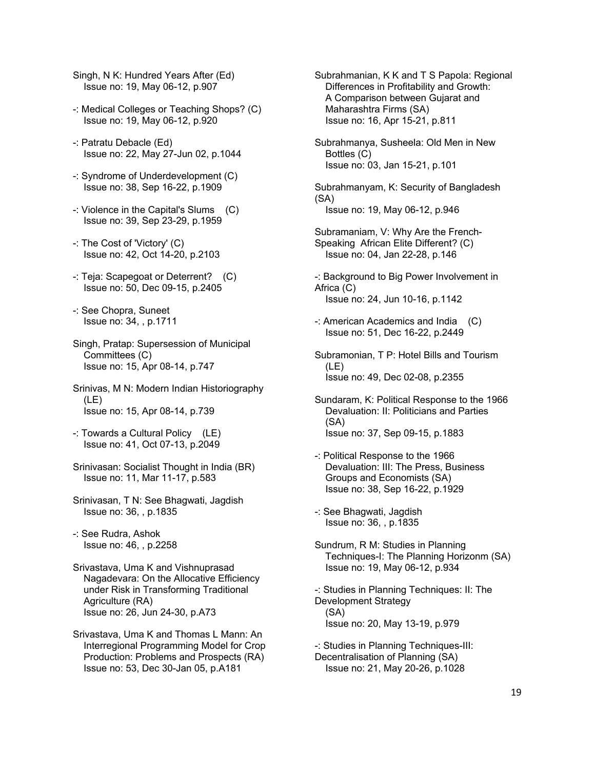Singh, N K: Hundred Years After (Ed) Issue no: 19, May 06-12, p.907

- -: Medical Colleges or Teaching Shops? (C) Issue no: 19, May 06-12, p.920
- -: Patratu Debacle (Ed) Issue no: 22, May 27-Jun 02, p.1044
- -: Syndrome of Underdevelopment (C) Issue no: 38, Sep 16-22, p.1909
- -: Violence in the Capital's Slums (C) Issue no: 39, Sep 23-29, p.1959
- -: The Cost of 'Victory' (C) Issue no: 42, Oct 14-20, p.2103
- -: Teja: Scapegoat or Deterrent? (C) Issue no: 50, Dec 09-15, p.2405
- -: See Chopra, Suneet Issue no: 34, , p.1711
- Singh, Pratap: Supersession of Municipal Committees (C) Issue no: 15, Apr 08-14, p.747
- Srinivas, M N: Modern Indian Historiography (LE) Issue no: 15, Apr 08-14, p.739
- -: Towards a Cultural Policy (LE) Issue no: 41, Oct 07-13, p.2049
- Srinivasan: Socialist Thought in India (BR) Issue no: 11, Mar 11-17, p.583
- Srinivasan, T N: See Bhagwati, Jagdish Issue no: 36, , p.1835
- -: See Rudra, Ashok Issue no: 46, , p.2258
- Srivastava, Uma K and Vishnuprasad Nagadevara: On the Allocative Efficiency under Risk in Transforming Traditional Agriculture (RA) Issue no: 26, Jun 24-30, p.A73
- Srivastava, Uma K and Thomas L Mann: An Interregional Programming Model for Crop Production: Problems and Prospects (RA) Issue no: 53, Dec 30-Jan 05, p.A181
- Subrahmanian, K K and T S Papola: Regional Differences in Profitability and Growth: A Comparison between Gujarat and Maharashtra Firms (SA) Issue no: 16, Apr 15-21, p.811
- Subrahmanya, Susheela: Old Men in New Bottles (C) Issue no: 03, Jan 15-21, p.101

Subrahmanyam, K: Security of Bangladesh (SA) Issue no: 19, May 06-12, p.946

- Subramaniam, V: Why Are the French-Speaking African Elite Different? (C) Issue no: 04, Jan 22-28, p.146
- -: Background to Big Power Involvement in Africa (C) Issue no: 24, Jun 10-16, p.1142
- -: American Academics and India (C) Issue no: 51, Dec 16-22, p.2449
- Subramonian, T P: Hotel Bills and Tourism (LE) Issue no: 49, Dec 02-08, p.2355
- Sundaram, K: Political Response to the 1966 Devaluation: II: Politicians and Parties (SA) Issue no: 37, Sep 09-15, p.1883
- -: Political Response to the 1966 Devaluation: III: The Press, Business Groups and Economists (SA) Issue no: 38, Sep 16-22, p.1929
- -: See Bhagwati, Jagdish Issue no: 36, , p.1835
- Sundrum, R M: Studies in Planning Techniques-I: The Planning Horizonm (SA) Issue no: 19, May 06-12, p.934

-: Studies in Planning Techniques: II: The Development Strategy (SA) Issue no: 20, May 13-19, p.979

-: Studies in Planning Techniques-III: Decentralisation of Planning (SA) Issue no: 21, May 20-26, p.1028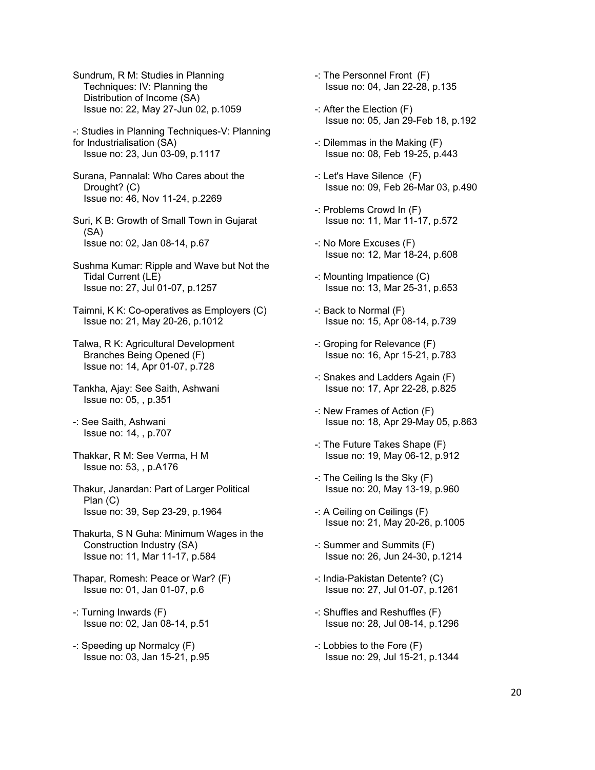Sundrum, R M: Studies in Planning Techniques: IV: Planning the Distribution of Income (SA) Issue no: 22, May 27-Jun 02, p.1059

-: Studies in Planning Techniques-V: Planning for Industrialisation (SA) Issue no: 23, Jun 03-09, p.1117

Surana, Pannalal: Who Cares about the Drought? (C) Issue no: 46, Nov 11-24, p.2269

Suri, K B: Growth of Small Town in Gujarat (SA) Issue no: 02, Jan 08-14, p.67

Sushma Kumar: Ripple and Wave but Not the Tidal Current (LE) Issue no: 27, Jul 01-07, p.1257

Taimni, K K: Co-operatives as Employers (C) Issue no: 21, May 20-26, p.1012

Talwa, R K: Agricultural Development Branches Being Opened (F) Issue no: 14, Apr 01-07, p.728

Tankha, Ajay: See Saith, Ashwani Issue no: 05, , p.351

-: See Saith, Ashwani Issue no: 14, , p.707

Thakkar, R M: See Verma, H M Issue no: 53, , p.A176

Thakur, Janardan: Part of Larger Political Plan (C) Issue no: 39, Sep 23-29, p.1964

Thakurta, S N Guha: Minimum Wages in the Construction Industry (SA) Issue no: 11, Mar 11-17, p.584

Thapar, Romesh: Peace or War? (F) Issue no: 01, Jan 01-07, p.6

- -: Turning Inwards (F) Issue no: 02, Jan 08-14, p.51
- -: Speeding up Normalcy (F) Issue no: 03, Jan 15-21, p.95

-: The Personnel Front (F) Issue no: 04, Jan 22-28, p.135

- -: After the Election (F) Issue no: 05, Jan 29-Feb 18, p.192
- -: Dilemmas in the Making (F) Issue no: 08, Feb 19-25, p.443
- -: Let's Have Silence (F) Issue no: 09, Feb 26-Mar 03, p.490
- -: Problems Crowd In (F) Issue no: 11, Mar 11-17, p.572
- -: No More Excuses (F) Issue no: 12, Mar 18-24, p.608
- -: Mounting Impatience (C) Issue no: 13, Mar 25-31, p.653
- -: Back to Normal (F) Issue no: 15, Apr 08-14, p.739
- -: Groping for Relevance (F) Issue no: 16, Apr 15-21, p.783
- -: Snakes and Ladders Again (F) Issue no: 17, Apr 22-28, p.825
- -: New Frames of Action (F) Issue no: 18, Apr 29-May 05, p.863
- -: The Future Takes Shape (F) Issue no: 19, May 06-12, p.912
- -: The Ceiling Is the Sky (F) Issue no: 20, May 13-19, p.960
- -: A Ceiling on Ceilings (F) Issue no: 21, May 20-26, p.1005
- -: Summer and Summits (F) Issue no: 26, Jun 24-30, p.1214
- -: India-Pakistan Detente? (C) Issue no: 27, Jul 01-07, p.1261
- -: Shuffles and Reshuffles (F) Issue no: 28, Jul 08-14, p.1296
- -: Lobbies to the Fore (F) Issue no: 29, Jul 15-21, p.1344